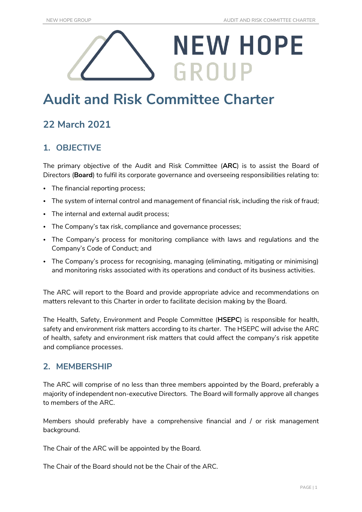# **NEW HOPE** GROUP

# **Audit and Risk Committee Charter**

# **22 March 2021**

# **1. OBJECTIVE**

The primary objective of the Audit and Risk Committee (**ARC**) is to assist the Board of Directors (**Board**) to fulfil its corporate governance and overseeing responsibilities relating to:

- The financial reporting process;
- The system of internal control and management of financial risk, including the risk of fraud;
- The internal and external audit process;
- The Company's tax risk, compliance and governance processes;
- The Company's process for monitoring compliance with laws and regulations and the Company's Code of Conduct; and
- The Company's process for recognising, managing (eliminating, mitigating or minimising) and monitoring risks associated with its operations and conduct of its business activities.

The ARC will report to the Board and provide appropriate advice and recommendations on matters relevant to this Charter in order to facilitate decision making by the Board.

The Health, Safety, Environment and People Committee (**HSEPC**) is responsible for health, safety and environment risk matters according to its charter. The HSEPC will advise the ARC of health, safety and environment risk matters that could affect the company's risk appetite and compliance processes.

### **2. MEMBERSHIP**

The ARC will comprise of no less than three members appointed by the Board, preferably a majority of independent non-executive Directors. The Board will formally approve all changes to members of the ARC.

Members should preferably have a comprehensive financial and / or risk management background.

The Chair of the ARC will be appointed by the Board.

The Chair of the Board should not be the Chair of the ARC.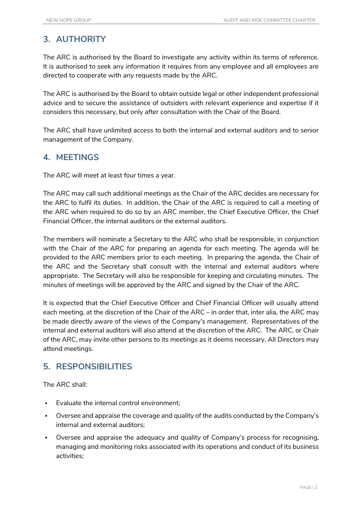# **3. AUTHORITY**

The ARC is authorised by the Board to investigate any activity within its terms of reference. It is authorised to seek any information it requires from any employee and all employees are directed to cooperate with any requests made by the ARC.

The ARC is authorised by the Board to obtain outside legal or other independent professional advice and to secure the assistance of outsiders with relevant experience and expertise if it considers this necessary, but only after consultation with the Chair of the Board.

The ARC shall have unlimited access to both the internal and external auditors and to senior management of the Company.

# **4. MEETINGS**

The ARC will meet at least four times a year.

The ARC may call such additional meetings as the Chair of the ARC decides are necessary for the ARC to fulfil its duties. In addition, the Chair of the ARC is required to call a meeting of the ARC when required to do so by an ARC member, the Chief Executive Officer, the Chief Financial Officer, the internal auditors or the external auditors.

The members will nominate a Secretary to the ARC who shall be responsible, in conjunction with the Chair of the ARC for preparing an agenda for each meeting. The agenda will be provided to the ARC members prior to each meeting. In preparing the agenda, the Chair of the ARC and the Secretary shall consult with the internal and external auditors where appropriate. The Secretary will also be responsible for keeping and circulating minutes. The minutes of meetings will be approved by the ARC and signed by the Chair of the ARC.

It is expected that the Chief Executive Officer and Chief Financial Officer will usually attend each meeting, at the discretion of the Chair of the ARC – in order that, inter alia, the ARC may be made directly aware of the views of the Company's management. Representatives of the internal and external auditors will also attend at the discretion of the ARC. The ARC, or Chair of the ARC, may invite other persons to its meetings as it deems necessary. All Directors may attend meetings.

# **5. RESPONSIBILITIES**

The ARC shall:

- Evaluate the internal control environment;
- Oversee and appraise the coverage and quality of the audits conducted by the Company's internal and external auditors;
- Oversee and appraise the adequacy and quality of Company's process for recognising, managing and monitoring risks associated with its operations and conduct of its business activities;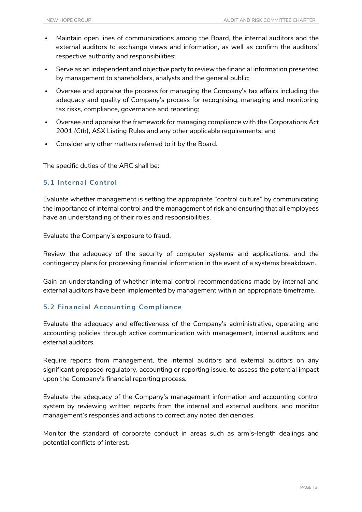- Maintain open lines of communications among the Board, the internal auditors and the external auditors to exchange views and information, as well as confirm the auditors' respective authority and responsibilities;
- Serve as an independent and objective party to review the financial information presented by management to shareholders, analysts and the general public;
- Oversee and appraise the process for managing the Company's tax affairs including the adequacy and quality of Company's process for recognising, managing and monitoring tax risks, compliance, governance and reporting;
- Oversee and appraise the framework for managing compliance with the *Corporations Act 2001 (Cth)*, ASX Listing Rules and any other applicable requirements; and
- Consider any other matters referred to it by the Board.

The specific duties of the ARC shall be:

#### **5.1 Internal Control**

Evaluate whether management is setting the appropriate "control culture" by communicating the importance of internal control and the management of risk and ensuring that all employees have an understanding of their roles and responsibilities.

Evaluate the Company's exposure to fraud.

Review the adequacy of the security of computer systems and applications, and the contingency plans for processing financial information in the event of a systems breakdown.

Gain an understanding of whether internal control recommendations made by internal and external auditors have been implemented by management within an appropriate timeframe.

#### **5.2 Financial Accounting Compliance**

Evaluate the adequacy and effectiveness of the Company's administrative, operating and accounting policies through active communication with management, internal auditors and external auditors.

Require reports from management, the internal auditors and external auditors on any significant proposed regulatory, accounting or reporting issue, to assess the potential impact upon the Company's financial reporting process.

Evaluate the adequacy of the Company's management information and accounting control system by reviewing written reports from the internal and external auditors, and monitor management's responses and actions to correct any noted deficiencies.

Monitor the standard of corporate conduct in areas such as arm's-length dealings and potential conflicts of interest.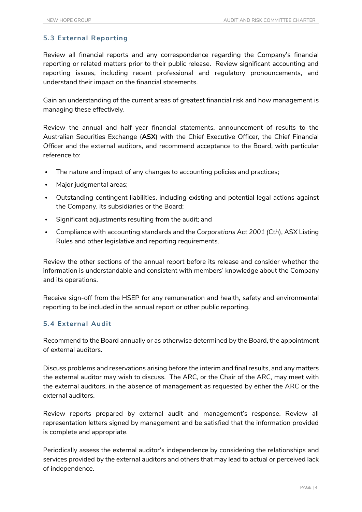#### **5.3 External Reporting**

Review all financial reports and any correspondence regarding the Company's financial reporting or related matters prior to their public release. Review significant accounting and reporting issues, including recent professional and regulatory pronouncements, and understand their impact on the financial statements.

Gain an understanding of the current areas of greatest financial risk and how management is managing these effectively.

Review the annual and half year financial statements, announcement of results to the Australian Securities Exchange (**ASX**) with the Chief Executive Officer, the Chief Financial Officer and the external auditors, and recommend acceptance to the Board, with particular reference to:

- The nature and impact of any changes to accounting policies and practices;
- Major judgmental areas;
- Outstanding contingent liabilities, including existing and potential legal actions against the Company, its subsidiaries or the Board;
- Significant adjustments resulting from the audit; and
- Compliance with accounting standards and the *Corporations Act 2001 (Cth*), ASX Listing Rules and other legislative and reporting requirements.

Review the other sections of the annual report before its release and consider whether the information is understandable and consistent with members' knowledge about the Company and its operations.

Receive sign-off from the HSEP for any remuneration and health, safety and environmental reporting to be included in the annual report or other public reporting.

#### **5.4 External Audit**

Recommend to the Board annually or as otherwise determined by the Board, the appointment of external auditors.

Discuss problems and reservations arising before the interim and final results, and any matters the external auditor may wish to discuss. The ARC, or the Chair of the ARC, may meet with the external auditors, in the absence of management as requested by either the ARC or the external auditors.

Review reports prepared by external audit and management's response. Review all representation letters signed by management and be satisfied that the information provided is complete and appropriate.

Periodically assess the external auditor's independence by considering the relationships and services provided by the external auditors and others that may lead to actual or perceived lack of independence.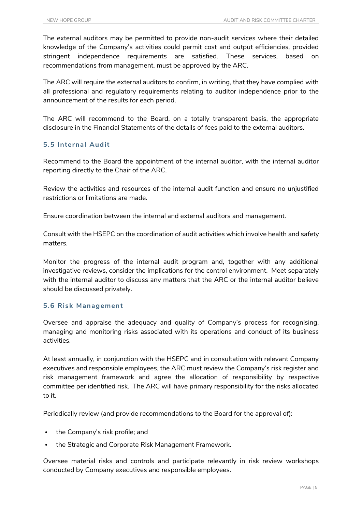The external auditors may be permitted to provide non-audit services where their detailed knowledge of the Company's activities could permit cost and output efficiencies, provided stringent independence requirements are satisfied. These services, based on recommendations from management, must be approved by the ARC.

The ARC will require the external auditors to confirm, in writing, that they have complied with all professional and regulatory requirements relating to auditor independence prior to the announcement of the results for each period.

The ARC will recommend to the Board, on a totally transparent basis, the appropriate disclosure in the Financial Statements of the details of fees paid to the external auditors.

#### **5.5 Internal Audit**

Recommend to the Board the appointment of the internal auditor, with the internal auditor reporting directly to the Chair of the ARC.

Review the activities and resources of the internal audit function and ensure no unjustified restrictions or limitations are made.

Ensure coordination between the internal and external auditors and management.

Consult with the HSEPC on the coordination of audit activities which involve health and safety matters.

Monitor the progress of the internal audit program and, together with any additional investigative reviews, consider the implications for the control environment. Meet separately with the internal auditor to discuss any matters that the ARC or the internal auditor believe should be discussed privately.

#### **5.6 Risk Management**

Oversee and appraise the adequacy and quality of Company's process for recognising, managing and monitoring risks associated with its operations and conduct of its business activities.

At least annually, in conjunction with the HSEPC and in consultation with relevant Company executives and responsible employees, the ARC must review the Company's risk register and risk management framework and agree the allocation of responsibility by respective committee per identified risk. The ARC will have primary responsibility for the risks allocated to it.

Periodically review (and provide recommendations to the Board for the approval of):

- the Company's risk profile; and
- the Strategic and Corporate Risk Management Framework.

Oversee material risks and controls and participate relevantly in risk review workshops conducted by Company executives and responsible employees.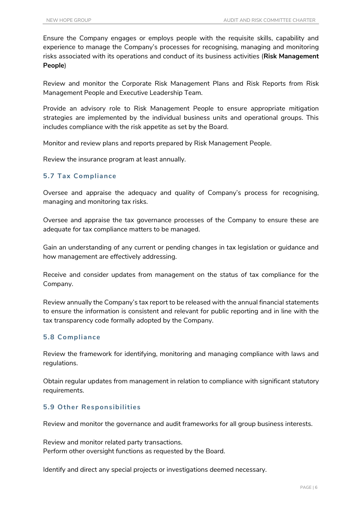Ensure the Company engages or employs people with the requisite skills, capability and experience to manage the Company's processes for recognising, managing and monitoring risks associated with its operations and conduct of its business activities (**Risk Management People**)

Review and monitor the Corporate Risk Management Plans and Risk Reports from Risk Management People and Executive Leadership Team.

Provide an advisory role to Risk Management People to ensure appropriate mitigation strategies are implemented by the individual business units and operational groups. This includes compliance with the risk appetite as set by the Board.

Monitor and review plans and reports prepared by Risk Management People.

Review the insurance program at least annually.

#### **5.7 Tax Compliance**

Oversee and appraise the adequacy and quality of Company's process for recognising, managing and monitoring tax risks.

Oversee and appraise the tax governance processes of the Company to ensure these are adequate for tax compliance matters to be managed.

Gain an understanding of any current or pending changes in tax legislation or guidance and how management are effectively addressing.

Receive and consider updates from management on the status of tax compliance for the Company.

Review annually the Company's tax report to be released with the annual financial statements to ensure the information is consistent and relevant for public reporting and in line with the tax transparency code formally adopted by the Company.

#### **5.8 Compliance**

Review the framework for identifying, monitoring and managing compliance with laws and regulations.

Obtain regular updates from management in relation to compliance with significant statutory requirements.

#### **5.9 Other Responsibilities**

Review and monitor the governance and audit frameworks for all group business interests.

Review and monitor related party transactions. Perform other oversight functions as requested by the Board.

Identify and direct any special projects or investigations deemed necessary.